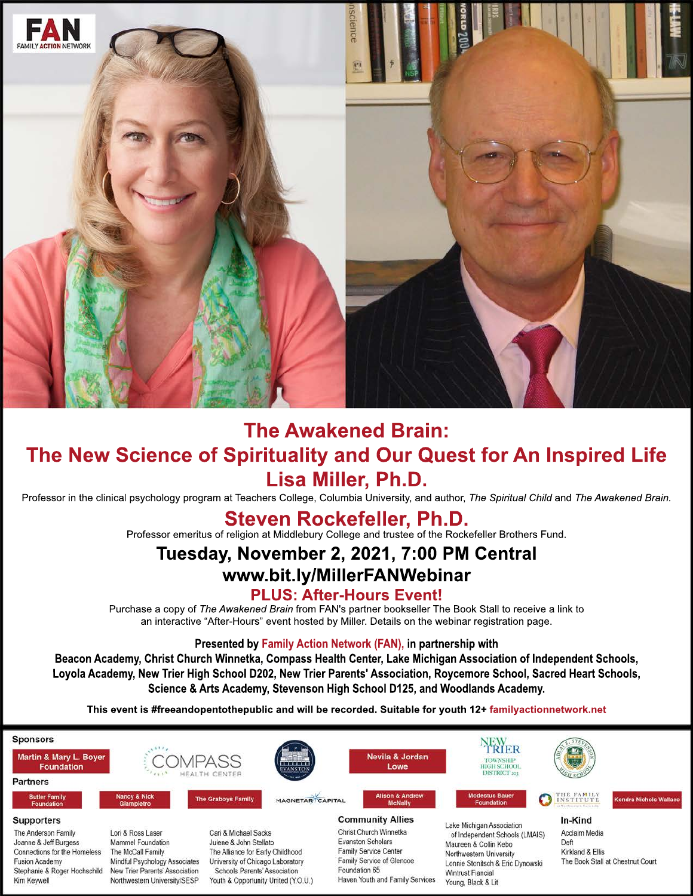

# **The Awakened Brain: The New Science of Spirituality and Our Quest for An Inspired Life Lisa Miller, Ph.D.**

Professor in the clinical psychology program at Teachers College, Columbia University, and author, *The Spiritual Child* and *The Awakened Brain.*

# **Steven Rockefeller, Ph.D.**

Professor emeritus of religion at Middlebury College and trustee of the Rockefeller Brothers Fund.

## **Tuesday, November 2, 2021, 7:00 PM Central**

### **www.bit.ly/MillerFANWebinar**

### **PLUS: After-Hours Event!**

Purchase a copy of *The Awakened Brain* from FAN's partner bookseller The Book Stall to receive a link to an interactive "After-Hours" event hosted by Miller. Details on the webinar registration page.

#### **Presented by Family Action Network (FAN), in partnership with**

**Beacon Academy, Christ Church Winnetka, Compass Health Center, Lake Michigan Association of Independent Schools, Loyola Academy, New Trier High School D202, New Trier Parents' Association, Roycemore School, Sacred Heart Schools, Loyola Science & Arts Academy, Stevenson High School D125, and Woodlands Academy.**

**This event is #freeandopentothepublic and will be recorded. Suitable for youth 12+ familyactionnetwork.net**